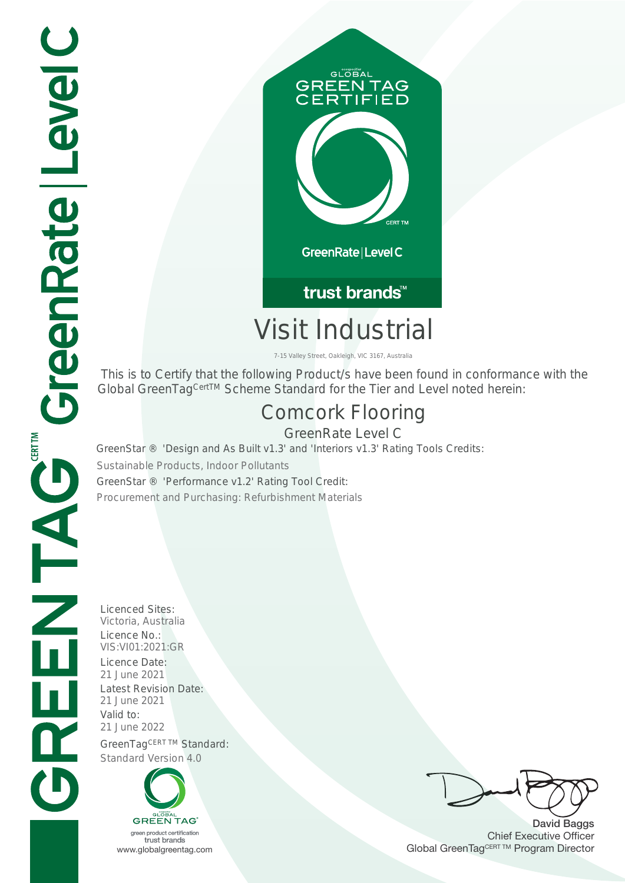

trust brands<sup>™</sup>

# Visit Industrial

7-15 Valley Street, Oakleigh, VIC 3167, Australia

 This is to Certify that the following Product/s have been found in conformance with the Global GreenTag<sup>CertTM</sup> Scheme Standard for the Tier and Level noted herein:

## Comcork Flooring

GreenRate Level C GreenStar ® 'Design and As Built v1.3' and 'Interiors v1.3' Rating Tools Credits: Sustainable Products, Indoor Pollutants GreenStar ® 'Performance v1.2' Rating Tool Credit:

Procurement and Purchasing: Refurbishment Materials

Licenced Sites: Victoria, Australia Licence No.: VIS:VI01:2021:GR Licence Date: 21 June 2021 Latest Revision Date:<br>21 June 2021 Valid to: 21 June 2022 GreenTagCERT TM Standard: Standard Version 4.0



David Baggs Chief Executive Officer WWW.globalgreentag.com Web States and Changes and Changes and Changes and Changes and Changes and Changes and Changes and Changes and Changes and Changes and Changes and Changes and Changes and Changes and Changes and Chan